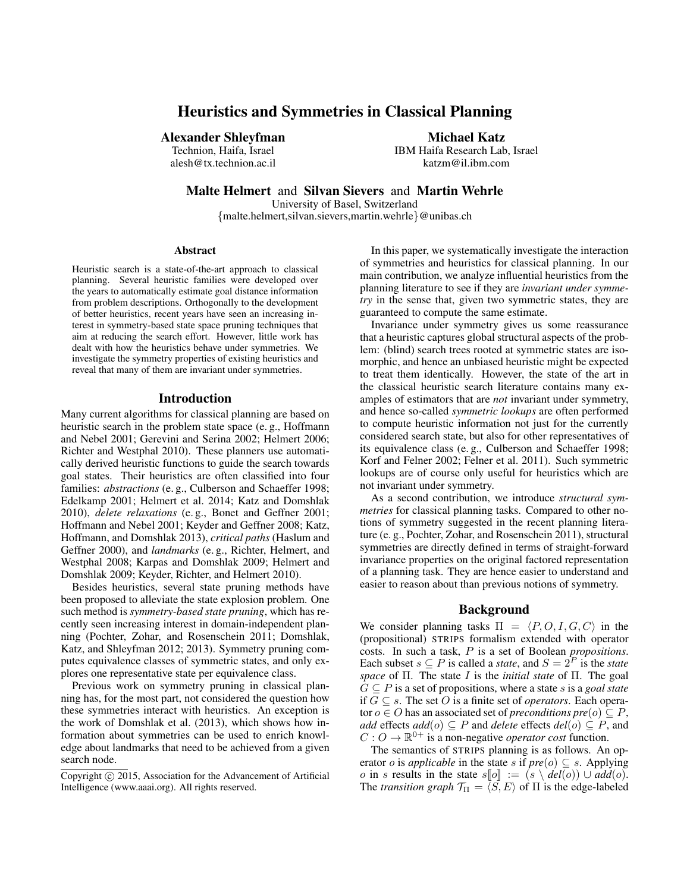# Heuristics and Symmetries in Classical Planning

### Alexander Shleyfman

Technion, Haifa, Israel alesh@tx.technion.ac.il Michael Katz

IBM Haifa Research Lab, Israel katzm@il.ibm.com

Malte Helmert and Silvan Sievers and Martin Wehrle

University of Basel, Switzerland {malte.helmert,silvan.sievers,martin.wehrle}@unibas.ch

#### Abstract

Heuristic search is a state-of-the-art approach to classical planning. Several heuristic families were developed over the years to automatically estimate goal distance information from problem descriptions. Orthogonally to the development of better heuristics, recent years have seen an increasing interest in symmetry-based state space pruning techniques that aim at reducing the search effort. However, little work has dealt with how the heuristics behave under symmetries. We investigate the symmetry properties of existing heuristics and reveal that many of them are invariant under symmetries.

#### Introduction

Many current algorithms for classical planning are based on heuristic search in the problem state space (e. g., Hoffmann and Nebel 2001; Gerevini and Serina 2002; Helmert 2006; Richter and Westphal 2010). These planners use automatically derived heuristic functions to guide the search towards goal states. Their heuristics are often classified into four families: *abstractions* (e.g., Culberson and Schaeffer 1998; Edelkamp 2001; Helmert et al. 2014; Katz and Domshlak 2010), *delete relaxations* (e. g., Bonet and Geffner 2001; Hoffmann and Nebel 2001; Keyder and Geffner 2008; Katz, Hoffmann, and Domshlak 2013), *critical paths* (Haslum and Geffner 2000), and *landmarks* (e. g., Richter, Helmert, and Westphal 2008; Karpas and Domshlak 2009; Helmert and Domshlak 2009; Keyder, Richter, and Helmert 2010).

Besides heuristics, several state pruning methods have been proposed to alleviate the state explosion problem. One such method is *symmetry-based state pruning*, which has recently seen increasing interest in domain-independent planning (Pochter, Zohar, and Rosenschein 2011; Domshlak, Katz, and Shleyfman 2012; 2013). Symmetry pruning computes equivalence classes of symmetric states, and only explores one representative state per equivalence class.

Previous work on symmetry pruning in classical planning has, for the most part, not considered the question how these symmetries interact with heuristics. An exception is the work of Domshlak et al. (2013), which shows how information about symmetries can be used to enrich knowledge about landmarks that need to be achieved from a given search node.

In this paper, we systematically investigate the interaction of symmetries and heuristics for classical planning. In our main contribution, we analyze influential heuristics from the planning literature to see if they are *invariant under symmetry* in the sense that, given two symmetric states, they are guaranteed to compute the same estimate.

Invariance under symmetry gives us some reassurance that a heuristic captures global structural aspects of the problem: (blind) search trees rooted at symmetric states are isomorphic, and hence an unbiased heuristic might be expected to treat them identically. However, the state of the art in the classical heuristic search literature contains many examples of estimators that are *not* invariant under symmetry, and hence so-called *symmetric lookups* are often performed to compute heuristic information not just for the currently considered search state, but also for other representatives of its equivalence class (e. g., Culberson and Schaeffer 1998; Korf and Felner 2002; Felner et al. 2011). Such symmetric lookups are of course only useful for heuristics which are not invariant under symmetry.

As a second contribution, we introduce *structural symmetries* for classical planning tasks. Compared to other notions of symmetry suggested in the recent planning literature (e. g., Pochter, Zohar, and Rosenschein 2011), structural symmetries are directly defined in terms of straight-forward invariance properties on the original factored representation of a planning task. They are hence easier to understand and easier to reason about than previous notions of symmetry.

#### Background

We consider planning tasks  $\Pi = \langle P, O, I, G, C \rangle$  in the (propositional) STRIPS formalism extended with operator costs. In such a task, P is a set of Boolean *propositions*. Each subset  $s \subseteq P$  is called a *state*, and  $S = 2^P$  is the *state space* of Π. The state I is the *initial state* of Π. The goal  $G \subseteq P$  is a set of propositions, where a state s is a *goal state* if  $G ⊆ s$ . The set  $O$  is a finite set of *operators*. Each operator  $o \in O$  has an associated set of *preconditions pre* $(o) \subseteq P$ , *add* effects  $add(o) ⊆ P$  and *delete* effects  $del(o) ⊆ P$ , and  $C: O \to \mathbb{R}^{0+}$  is a non-negative *operator cost* function.

The semantics of STRIPS planning is as follows. An operator *o* is *applicable* in the state *s* if  $pre(o) \subseteq s$ . Applying *o* in *s* results in the state  $s[\![o]\!] := (s \setminus \text{del}(o)) \cup \text{add}(o)$ .<br>The *transition graph*  $\mathcal{T}_{\Pi} = \langle S, E \rangle$  of  $\Pi$  is the edge-labeled

Copyright (c) 2015, Association for the Advancement of Artificial Intelligence (www.aaai.org). All rights reserved.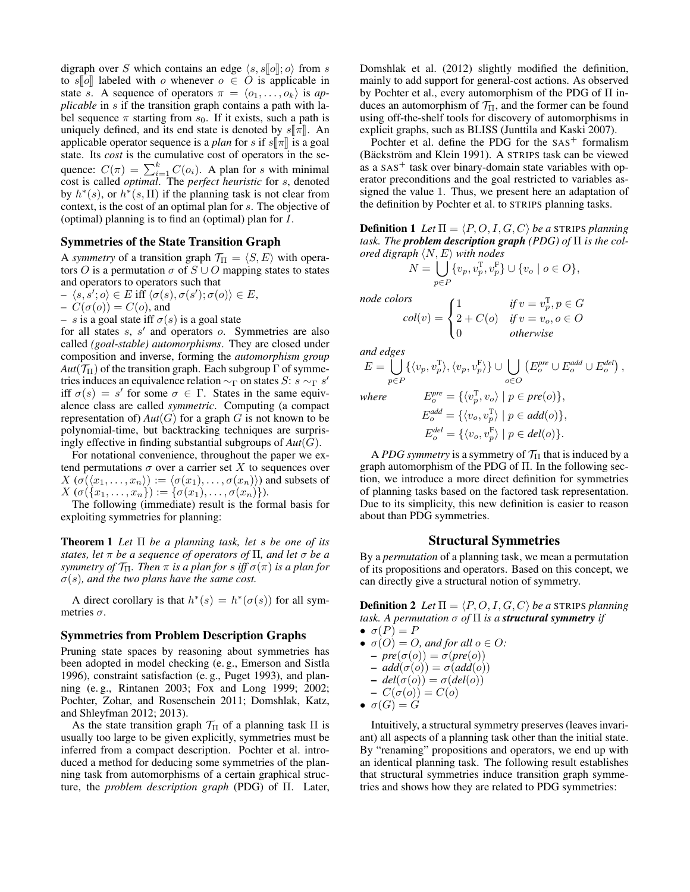digraph over S which contains an edge  $\langle s, s\vert \vert o \vert$ ; o) from s to s[o] labeled with o whenever  $o \in O$  is applicable in state s. A sequence of operators  $\pi = \langle o_1, \ldots, o_k \rangle$  is *applicable* in s if the transition graph contains a path with label sequence  $\pi$  starting from  $s_0$ . If it exists, such a path is uniquely defined, and its end state is denoted by  $s\llbracket \pi \rrbracket$ . An applicable operator sequence is a *plan* for s if  $s[\![\pi]\!]$  is a goal state. Its *cost* is the cumulative cost of operators in the sequence:  $C(\pi) = \sum_{i=1}^{k} C(o_i)$ . A plan for s with minimal cost is called *optimal*. The *perfect heuristic* for s, denoted by  $h^*(s)$ , or  $h^*(s, \Pi)$  if the planning task is not clear from context, is the cost of an optimal plan for s. The objective of (optimal) planning is to find an (optimal) plan for I.

### Symmetries of the State Transition Graph

A *symmetry* of a transition graph  $\mathcal{T}_{\Pi} = \langle S, E \rangle$  with operators O is a permutation  $\sigma$  of  $S \cup O$  mapping states to states and operators to operators such that

$$
- \langle s, s' ; o \rangle \in E \text{ iff } \langle \sigma(s), \sigma(s') ; \sigma(o) \rangle \in E,
$$

$$
-C(\sigma(o)) = C(o)
$$
, and

 $- s$  is a goal state iff  $\sigma(s)$  is a goal state

for all states  $s$ ,  $s'$  and operators  $o$ . Symmetries are also called *(goal-stable) automorphisms*. They are closed under composition and inverse, forming the *automorphism group*  $Aut(\mathcal{T}_{\Pi})$  of the transition graph. Each subgroup  $\Gamma$  of symmetries induces an equivalence relation  $\sim_{\Gamma}$  on states S: s  $\sim_{\Gamma}$  s' iff  $\sigma(s) = s'$  for some  $\sigma \in \Gamma$ . States in the same equivalence class are called *symmetric*. Computing (a compact representation of)  $Aut(G)$  for a graph G is not known to be polynomial-time, but backtracking techniques are surprisingly effective in finding substantial subgroups of *Aut*(G).

For notational convenience, throughout the paper we extend permutations  $\sigma$  over a carrier set X to sequences over  $X(\sigma(\langle x_1, \ldots, x_n \rangle) := \langle \sigma(x_1), \ldots, \sigma(x_n) \rangle)$  and subsets of  $X(\sigma({x_1},...,x_n)) := {\sigma(x_1),..., \sigma(x_n)}$ .

The following (immediate) result is the formal basis for exploiting symmetries for planning:

Theorem 1 *Let* Π *be a planning task, let* s *be one of its states, let* π *be a sequence of operators of* Π*, and let* σ *be a symmetry of*  $\mathcal{T}_{\Pi}$ *. Then*  $\pi$  *is a plan for s iff*  $\sigma(\pi)$  *is a plan for*  $\sigma(s)$ , and the two plans have the same cost.

A direct corollary is that  $h^*(s) = h^*(\sigma(s))$  for all symmetries  $\sigma$ .

#### Symmetries from Problem Description Graphs

Pruning state spaces by reasoning about symmetries has been adopted in model checking (e. g., Emerson and Sistla 1996), constraint satisfaction (e. g., Puget 1993), and planning (e. g., Rintanen 2003; Fox and Long 1999; 2002; Pochter, Zohar, and Rosenschein 2011; Domshlak, Katz, and Shleyfman 2012; 2013).

As the state transition graph  $\mathcal{T}_{\Pi}$  of a planning task  $\Pi$  is usually too large to be given explicitly, symmetries must be inferred from a compact description. Pochter et al. introduced a method for deducing some symmetries of the planning task from automorphisms of a certain graphical structure, the *problem description graph* (PDG) of Π. Later, Domshlak et al. (2012) slightly modified the definition, mainly to add support for general-cost actions. As observed by Pochter et al., every automorphism of the PDG of Π induces an automorphism of  $\mathcal{T}_{\Pi}$ , and the former can be found using off-the-shelf tools for discovery of automorphisms in explicit graphs, such as BLISS (Junttila and Kaski 2007).

Pochter et al. define the PDG for the  $SAS<sup>+</sup>$  formalism (Bäckström and Klein 1991). A STRIPS task can be viewed as a  $SAS<sup>+</sup>$  task over binary-domain state variables with operator preconditions and the goal restricted to variables assigned the value 1. Thus, we present here an adaptation of the definition by Pochter et al. to STRIPS planning tasks.

**Definition 1** Let  $\Pi = \langle P, O, I, G, C \rangle$  be a STRIPS planning *task. The problem description graph (PDG) of* Π *is the colored digraph*  $\langle N, E \rangle$  *with nodes* 

$$
N = \bigcup_{p \in P} \{v_p, v_p^{\mathrm{T}}, v_p^{\mathrm{F}}\} \cup \{v_o \mid o \in O\},\
$$

 $\sqrt{ }$ J  $\mathcal{L}$ 

*node colors*

 $col(v) =$ 

 $2 + C(o)$  *if*  $v = v_o, o \in O$ 0 *otherwise*

 $(E_o^{pre} \cup E_o^{add} \cup E_o^{del}),$ 

o∈O

1  $\text{if } v = v_p^{\mathrm{T}}, p \in G$ 

*and edges*  $E = |$  $\{\langle v_p, v_p^{\mathrm{T}}\rangle, \langle v_p, v_p^{\mathrm{F}}\rangle\} \cup \bigcup$ 

$$
p \in P
$$

where 
$$
E_o^{pre} = \{ \langle v_p^{\mathsf{T}}, v_o \rangle \mid p \in pre(o) \},
$$

$$
E_o^{add} = \{ \langle v_o, v_p^{\mathsf{T}} \rangle \mid p \in add(o) \},
$$

$$
E_o^{del} = \{ \langle v_o, v_p^{\mathsf{F}} \rangle \mid p \in del(o) \}.
$$

A *PDG symmetry* is a symmetry of  $\mathcal{T}_{\Pi}$  that is induced by a graph automorphism of the PDG of Π. In the following section, we introduce a more direct definition for symmetries of planning tasks based on the factored task representation. Due to its simplicity, this new definition is easier to reason about than PDG symmetries.

#### Structural Symmetries

By a *permutation* of a planning task, we mean a permutation of its propositions and operators. Based on this concept, we can directly give a structural notion of symmetry.

**Definition 2** Let  $\Pi = \langle P, O, I, G, C \rangle$  be a STRIPS planning *task. A permutation*  $\sigma$  *of*  $\Pi$  *is a structural symmetry if* 

- $\bullet \ \sigma(P) = P$
- $\sigma(O) = O$ , and for all  $o \in O$ :
	- $-\textit{pre}(\sigma(o)) = \sigma(\textit{pre}(o))$
	- $add(\sigma(o)) = \sigma(add(o))$
	- $-\text{del}(\sigma(o)) = \sigma(\text{del}(o))$
- $-C(\sigma(o))=C(o)$
- $\bullet \ \sigma(G) = G$

Intuitively, a structural symmetry preserves (leaves invariant) all aspects of a planning task other than the initial state. By "renaming" propositions and operators, we end up with an identical planning task. The following result establishes that structural symmetries induce transition graph symmetries and shows how they are related to PDG symmetries: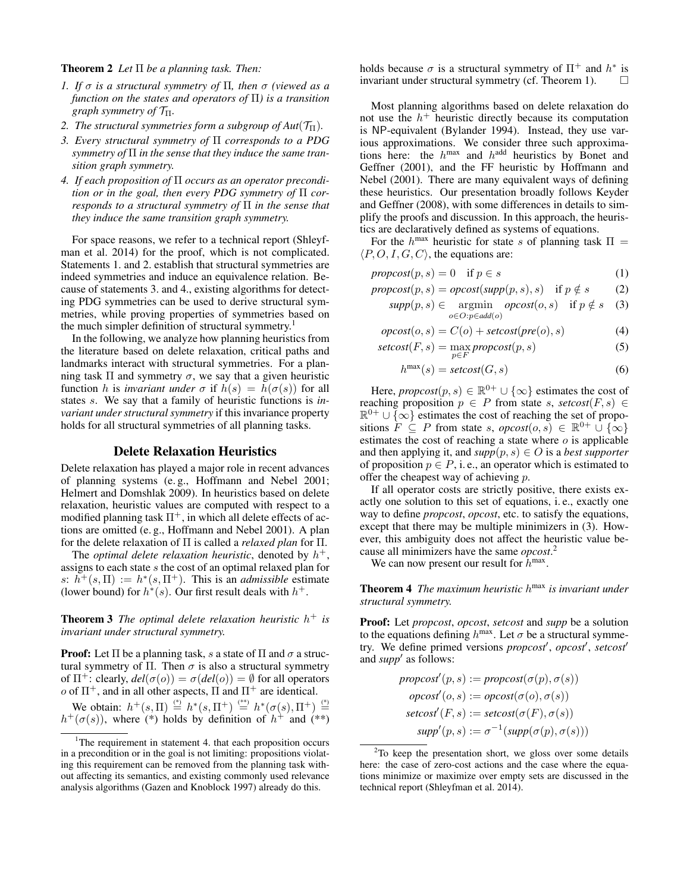#### Theorem 2 *Let* Π *be a planning task. Then:*

- *1. If* σ *is a structural symmetry of* Π*, then* σ *(viewed as a function on the states and operators of* Π*) is a transition graph symmetry of* TΠ*.*
- *2. The structural symmetries form a subgroup of Aut* $(\mathcal{T}_{\Pi})$ *.*
- *3. Every structural symmetry of* Π *corresponds to a PDG symmetry of* Π *in the sense that they induce the same transition graph symmetry.*
- *4. If each proposition of* Π *occurs as an operator precondition or in the goal, then every PDG symmetry of* Π *corresponds to a structural symmetry of* Π *in the sense that they induce the same transition graph symmetry.*

For space reasons, we refer to a technical report (Shleyfman et al. 2014) for the proof, which is not complicated. Statements 1. and 2. establish that structural symmetries are indeed symmetries and induce an equivalence relation. Because of statements 3. and 4., existing algorithms for detecting PDG symmetries can be used to derive structural symmetries, while proving properties of symmetries based on the much simpler definition of structural symmetry.<sup>1</sup>

In the following, we analyze how planning heuristics from the literature based on delete relaxation, critical paths and landmarks interact with structural symmetries. For a planning task  $\Pi$  and symmetry  $\sigma$ , we say that a given heuristic function h is *invariant under*  $\sigma$  if  $h(s) = h(\sigma(s))$  for all states s. We say that a family of heuristic functions is *invariant under structural symmetry* if this invariance property holds for all structural symmetries of all planning tasks.

# Delete Relaxation Heuristics

Delete relaxation has played a major role in recent advances of planning systems (e. g., Hoffmann and Nebel 2001; Helmert and Domshlak 2009). In heuristics based on delete relaxation, heuristic values are computed with respect to a modified planning task  $\Pi^+$ , in which all delete effects of actions are omitted (e. g., Hoffmann and Nebel 2001). A plan for the delete relaxation of Π is called a *relaxed plan* for Π.

The *optimal delete relaxation heuristic*, denoted by  $h^+$ , assigns to each state s the cost of an optimal relaxed plan for s:  $h^+(s,\Pi) := h^*(s,\Pi^+)$ . This is an *admissible* estimate (lower bound) for  $h^*(s)$ . Our first result deals with  $h^+$ .

Theorem 3 *The optimal delete relaxation heuristic* h <sup>+</sup> *is invariant under structural symmetry.*

**Proof:** Let  $\Pi$  be a planning task, s a state of  $\Pi$  and  $\sigma$  a structural symmetry of  $\Pi$ . Then  $\sigma$  is also a structural symmetry of  $\Pi^+$ : clearly,  $del(\sigma(o)) = \sigma(det(o)) = \emptyset$  for all operators  $o$  of  $\Pi^+$ , and in all other aspects,  $\Pi$  and  $\Pi^+$  are identical.

We obtain:  $h^+(s,\Pi) \stackrel{(*)}{=} h^*(s,\Pi^+) \stackrel{(**)}{=} h^*(\sigma(s),\Pi^+) \stackrel{(*)}{=}$  $h^+(\sigma(s))$ , where (\*) holds by definition of  $h^+$  and (\*\*)

holds because  $\sigma$  is a structural symmetry of  $\Pi^+$  and  $h^*$  is invariant under structural symmetry (cf. Theorem 1).

Most planning algorithms based on delete relaxation do not use the  $h^+$  heuristic directly because its computation is NP-equivalent (Bylander 1994). Instead, they use various approximations. We consider three such approximations here: the  $h^{max}$  and  $h^{add}$  heuristics by Bonet and Geffner (2001), and the FF heuristic by Hoffmann and Nebel (2001). There are many equivalent ways of defining these heuristics. Our presentation broadly follows Keyder and Geffner (2008), with some differences in details to simplify the proofs and discussion. In this approach, the heuristics are declaratively defined as systems of equations.

For the  $h^{\text{max}}$  heuristic for state s of planning task  $\Pi =$  $\langle P, O, I, G, C \rangle$ , the equations are:

 $\text{propcost}(p, s) = 0 \quad \text{if } p \in s$  (1)

$$
propcost(p, s) = opcost(supp(p, s), s) \text{ if } p \notin s \qquad (2)
$$

$$
supp(p, s) \in \underset{o \in O: p \in add(o)}{\operatorname{argmin}} \underset{o}{\operatorname{opcost}}(o, s) \quad \text{if } p \notin s \quad (3)
$$

$$
opcost(o, s) = C(o) + setcost(pre(o), s)
$$
\n(4)

$$
setcost(F, s) = \max_{p \in F} \text{propcost}(p, s) \tag{5}
$$

$$
h^{\max}(s) = \text{setcost}(G, s) \tag{6}
$$

Here, *propcost* $(p, s) \in \mathbb{R}^{0+} \cup \{\infty\}$  estimates the cost of reaching proposition  $p \in P$  from state s, setcost(F, s)  $\in$  $\mathbb{R}^{0+} \cup \{\infty\}$  estimates the cost of reaching the set of propositions  $F \subseteq P$  from state s,  $\text{opcost}(o, s) \in \mathbb{R}^{0+} \cup \{\infty\}$ estimates the cost of reaching a state where  $o$  is applicable and then applying it, and  $supp(p, s) \in O$  is a *best supporter* of proposition  $p \in P$ , i.e., an operator which is estimated to offer the cheapest way of achieving p.

If all operator costs are strictly positive, there exists exactly one solution to this set of equations, i. e., exactly one way to define *propcost*, *opcost*, etc. to satisfy the equations, except that there may be multiple minimizers in (3). However, this ambiguity does not affect the heuristic value because all minimizers have the same *opcost*. 2

We can now present our result for  $h^{\text{max}}$ .

Theorem 4 *The maximum heuristic* h max *is invariant under structural symmetry.*

Proof: Let *propcost*, *opcost*, *setcost* and *supp* be a solution to the equations defining  $h^{\text{max}}$ . Let  $\sigma$  be a structural symmetry. We define primed versions *propcost'*, *opcost'*, *setcost'* and *supp'* as follows:

$$
propcost'(p, s) := propcost(σ(p), σ(s))
$$
  
\n
$$
opcost'(o, s) := opcost(σ(o), σ(s))
$$
  
\n
$$
setcost'(F, s) := setcost(σ(F), σ(s))
$$
  
\n
$$
supp'(p, s) := σ^{-1}(supp(σ(p), σ(s)))
$$

<sup>&</sup>lt;sup>1</sup>The requirement in statement 4. that each proposition occurs in a precondition or in the goal is not limiting: propositions violating this requirement can be removed from the planning task without affecting its semantics, and existing commonly used relevance analysis algorithms (Gazen and Knoblock 1997) already do this.

 $2$ To keep the presentation short, we gloss over some details here: the case of zero-cost actions and the case where the equations minimize or maximize over empty sets are discussed in the technical report (Shleyfman et al. 2014).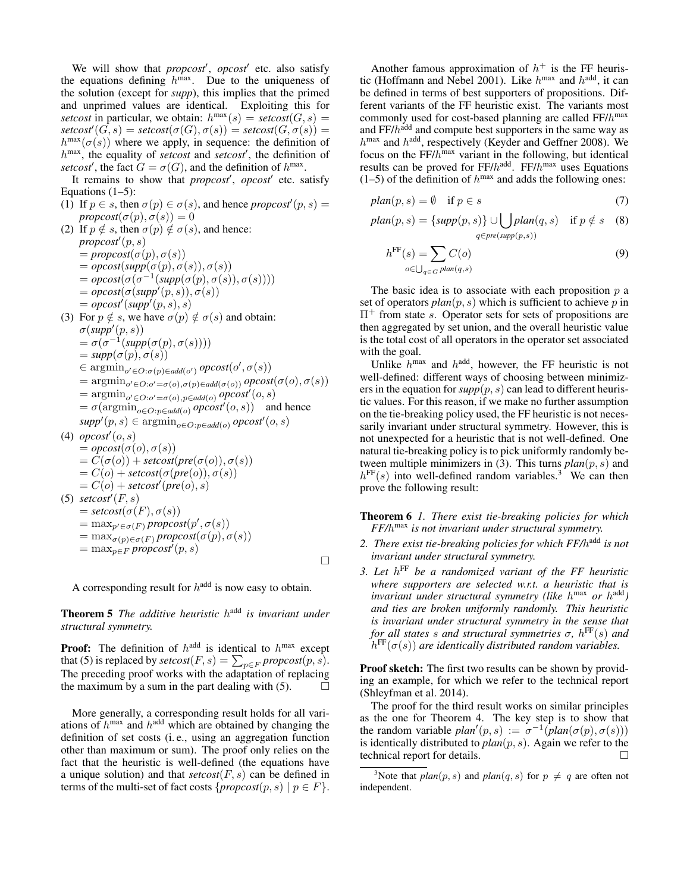We will show that *propcost'*, *opcost'* etc. also satisfy the equations defining  $h^{\text{max}}$ . Due to the uniqueness of the solution (except for *supp*), this implies that the primed and unprimed values are identical. Exploiting this for setcost in particular, we obtain:  $h^{\max}(s) = \text{setcost}(G, s) =$  $\textit{setcost}'(G, s) = \textit{setcost}(\sigma(G), \sigma(s)) = \textit{setcost}(G, \sigma(s)) =$  $h^{\max}(\sigma(s))$  where we apply, in sequence: the definition of  $h^{\max}$ , the equality of *setcost* and *setcost'*, the definition of setcost', the fact  $G = \sigma(G)$ , and the definition of  $h^{\max}$ .

It remains to show that *propcost'*, *opcost'* etc. satisfy Equations  $(1-5)$ :

- (1) If  $p \in s$ , then  $\sigma(p) \in \sigma(s)$ , and hence *propcost*<sup> $\prime$ </sup> $(p, s)$  =  $propcost(\sigma(p), \sigma(s)) = 0$
- (2) If  $p \notin s$ , then  $\sigma(p) \notin \sigma(s)$ , and hence:  $propcost'(p, s)$  $=$ *propcost*( $\sigma(p), \sigma(s)$ )  $= opcost(supp(\sigma(p), \sigma(s)), \sigma(s))$  $= opcost(\sigma(\sigma^{-1}(supp(\sigma(p), \sigma(s)), \sigma(s))))$  $= opcost(\sigma(supp'(p, s)), \sigma(s))$  $= opcost'(supp'(p, s), s)$ (3) For  $p \notin s$ , we have  $\sigma(p) \notin \sigma(s)$  and obtain:  $\sigma(supp'(p, s))$  $= \sigma(\sigma^{-1}(supp(\sigma(p), \sigma(s))))$  $= supp(\sigma(p), \sigma(s))$  $\in \operatorname{argmin}_{o' \in O: \sigma(p) \in \mathit{add}(o')} \mathit{opcost}(o', \sigma(s))$  $= \operatorname{argmin}_{o' \in O: o' = \sigma(o), \sigma(p) \in add(\sigma(o))} opcost(\sigma(o), \sigma(s))$  $= \operatorname{argmin}_{o' \in O: o' = \sigma(o), p \in add(o)} opcost'(o, s)$  $= \sigma(\operatorname{argmin}_{o \in O: p \in add(o)} opost'(o, s))$  and hence  $supp'(p, s) \in \text{argmin}_{o \in O: p \in \text{add}(o)} \text{ opcost}'(o, s)$ (4)  $\textit{opcost}'(o, s)$  $= opcost(\sigma(o), \sigma(s))$  $= C(\sigma(o)) + \text{setcost}(pre(\sigma(o)), \sigma(s))$  $= C(o) + \text{setcost}(\sigma(\text{pre}(o)), \sigma(s))$  $= C(o) + \textit{setcost}'(\textit{pre}(o), s)$ (5)  $\mathit{setcost}'(F, s)$  $= \text{setcost}(\sigma(F), \sigma(s))$  $=$  max<sub>p'</sub> $\in_{\sigma(F)}$  propcost $(p', \sigma(s))$  $=$  max<sub> $\sigma(p) \in \sigma(F)$ </sub> *propcost*( $\sigma(p), \sigma(s)$ )  $=$  max<sub>p∈F</sub> propcost<sup>*i*</sup>(p, s)  $\Box$

A corresponding result for  $h^{\text{add}}$  is now easy to obtain.

**Theorem 5** The additive heuristic h<sup>add</sup> is invariant under *structural symmetry.*

**Proof:** The definition of  $h^{\text{add}}$  is identical to  $h^{\text{max}}$  except that (5) is replaced by  $\mathit{setcost}(F, s) = \sum_{p \in F} \mathit{proposst}(p, s)$ . The preceding proof works with the adaptation of replacing the maximum by a sum in the part dealing with (5).

More generally, a corresponding result holds for all variations of  $h^{\text{max}}$  and  $h^{\text{add}}$  which are obtained by changing the definition of set costs (i. e., using an aggregation function other than maximum or sum). The proof only relies on the fact that the heuristic is well-defined (the equations have a unique solution) and that *setcost*(F, s) can be defined in terms of the multi-set of fact costs  $\{proposed(p, s) \mid p \in F\}.$ 

Another famous approximation of  $h^+$  is the FF heuristic (Hoffmann and Nebel 2001). Like  $h^{\text{max}}$  and  $h^{\text{add}}$ , it can be defined in terms of best supporters of propositions. Different variants of the FF heuristic exist. The variants most commonly used for cost-based planning are called  $FF/h^{max}$ and FF/h<sup>add</sup> and compute best supporters in the same way as  $h^{\text{max}}$  and  $h^{\text{add}}$ , respectively (Keyder and Geffner 2008). We focus on the  $FF/h^{max}$  variant in the following, but identical results can be proved for  $FF/h^{\text{add}}$ .  $FF/h^{\text{max}}$  uses Equations  $(1-5)$  of the definition of  $h^{max}$  and adds the following ones:

$$
plan(p, s) = \emptyset \quad \text{if } p \in s \tag{7}
$$

$$
plan(p, s) = \{ supp(p, s) \} \cup \bigcup_{q \in pre(supp(p, s))} plan(q, s) \quad \text{if } p \notin s \quad (8)
$$

$$
h^{\text{FF}}(s) = \sum_{o \in \bigcup_{q \in G} plan(q, s)} C(o)
$$
\n(9)

The basic idea is to associate with each proposition  $p$  a set of operators  $plan(p, s)$  which is sufficient to achieve p in  $\Pi^+$  from state s. Operator sets for sets of propositions are then aggregated by set union, and the overall heuristic value is the total cost of all operators in the operator set associated with the goal.

Unlike  $h^{\text{max}}$  and  $h^{\text{add}}$ , however, the FF heuristic is not well-defined: different ways of choosing between minimizers in the equation for  $supp(p, s)$  can lead to different heuristic values. For this reason, if we make no further assumption on the tie-breaking policy used, the FF heuristic is not necessarily invariant under structural symmetry. However, this is not unexpected for a heuristic that is not well-defined. One natural tie-breaking policy is to pick uniformly randomly between multiple minimizers in (3). This turns  $plan(p, s)$  and  $h^{\text{FF}}(s)$  into well-defined random variables.<sup>3</sup> We can then prove the following result:

Theorem 6 *1. There exist tie-breaking policies for which FF/*h max *is not invariant under structural symmetry.*

- *2. There exist tie-breaking policies for which FF/*h add *is not invariant under structural symmetry.*
- *3. Let* h FF *be a randomized variant of the FF heuristic where supporters are selected w.r.t. a heuristic that is invariant under structural symmetry (like* h max *or* h add*) and ties are broken uniformly randomly. This heuristic is invariant under structural symmetry in the sense that for all states* s *and structural symmetries* σ*,* h FF(s) *and*  $h^{\text{FF}}(\sigma(s))$  are identically distributed random variables.

Proof sketch: The first two results can be shown by providing an example, for which we refer to the technical report (Shleyfman et al. 2014).

The proof for the third result works on similar principles as the one for Theorem 4. The key step is to show that the random variable  $plan'(p, s) := \sigma^{-1}(plan(\sigma(p), \sigma(s)))$ is identically distributed to *plan* $(p, s)$ . Again we refer to the technical report for details technical report for details.

<sup>&</sup>lt;sup>3</sup>Note that  $plan(p, s)$  and  $plan(q, s)$  for  $p \neq q$  are often not independent.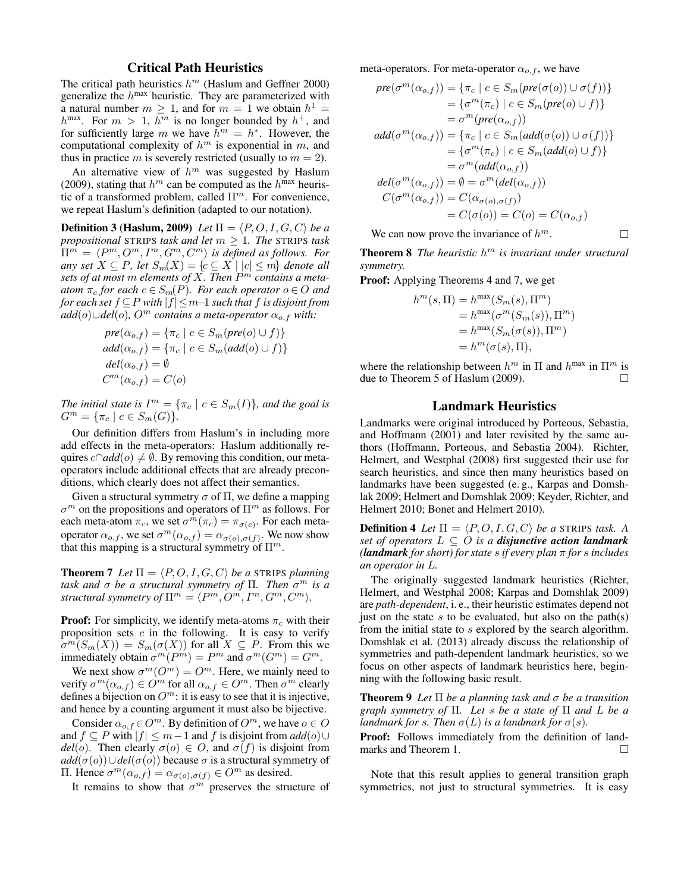# Critical Path Heuristics

The critical path heuristics  $h^m$  (Haslum and Geffner 2000) generalize the  $h^{\text{max}}$  heuristic. They are parameterized with a natural number  $m \geq 1$ , and for  $m = 1$  we obtain  $h^1 =$  $h^{\max}$ . For  $m > 1$ ,  $h^m$  is no longer bounded by  $h^+$ , and for sufficiently large m we have  $h^m = h^*$ . However, the computational complexity of  $h^m$  is exponential in m, and thus in practice m is severely restricted (usually to  $m = 2$ ).

An alternative view of  $h^m$  was suggested by Haslum (2009), stating that  $h^m$  can be computed as the  $h^{\text{max}}$  heuristic of a transformed problem, called  $\Pi^m$ . For convenience, we repeat Haslum's definition (adapted to our notation).

**Definition 3 (Haslum, 2009)** Let  $\Pi = \langle P, O, I, G, C \rangle$  be a *propositional* STRIPS *task and let*  $m \geq 1$ *. The* STRIPS *task*  $\Pi^m = \langle P^m, O^m, I^m, G^m, C^m \rangle$  is defined as follows. For *any set*  $X \subseteq P$ *, let*  $S_m(X) = \{c \subseteq X \mid |c| \le m\}$  *denote all sets of at most* m *elements of* X*. Then* P <sup>m</sup> *contains a meta-* $\alpha$ *atom*  $\pi_c$  *for each*  $c \in S_m(P)$ *. For each operator*  $o \in O$  *and for each set* f ⊆P *with* |f|≤m−1 *such that* f *is disjoint from*  $add(o) \cup del(o)$ *, O<sup>m</sup> contains a meta-operator*  $\alpha_{o,f}$  *with:* 

$$
pre(\alpha_{o,f}) = \{\pi_c \mid c \in S_m(pre(o) \cup f)\}
$$
  
add( $\alpha_{o,f}$ ) = { $\pi_c$  |  $c \in S_m$ (add(o)  $\cup$  f)}  
del( $\alpha_{o,f}$ ) =  $\emptyset$   
 $C^m(\alpha_{o,f}) = C(o)$ 

*The initial state is*  $I^m = \{ \pi_c \mid c \in S_m(I) \}$ *, and the goal is*  $G^m = \{\pi_c \mid c \in S_m(G)\}.$ 

Our definition differs from Haslum's in including more add effects in the meta-operators: Haslum additionally requires  $c \cap add(o) \neq \emptyset$ . By removing this condition, our metaoperators include additional effects that are already preconditions, which clearly does not affect their semantics.

Given a structural symmetry  $\sigma$  of  $\Pi$ , we define a mapping  $\sigma^m$  on the propositions and operators of  $\Pi^m$  as follows. For each meta-atom  $\pi_c$ , we set  $\sigma^m(\pi_c) = \pi_{\sigma(c)}$ . For each metaoperator  $\alpha_{o,f}$ , we set  $\sigma^m(\alpha_{o,f}) = \alpha_{\sigma(o),\sigma(f)}$ . We now show that this mapping is a structural symmetry of  $\Pi^m$ .

**Theorem 7** Let  $\Pi = \langle P, O, I, G, C \rangle$  be a STRIPS planning *task and* σ *be a structural symmetry of* Π*. Then* σ <sup>m</sup> *is a structural symmetry of*  $\Pi^m = \langle P^m, O^m, I^m, G^m, C^m \rangle$ .

**Proof:** For simplicity, we identify meta-atoms  $\pi_c$  with their proposition sets  $c$  in the following. It is easy to verify  $\sigma^m(S_m(X)) = S_m(\sigma(X))$  for all  $X \subseteq P$ . From this we immediately obtain  $\sigma^m(P^m) = P^m$  and  $\sigma^m(G^m) = G^m$ .

We next show  $\sigma^m(O^m) = O^m$ . Here, we mainly need to verify  $\sigma^m(\alpha_{o,f}) \in \hat{O}^m$  for all  $\alpha_{o,f} \in \hat{O}^m$ . Then  $\sigma^m$  clearly defines a bijection on  $O^m$ : it is easy to see that it is injective, and hence by a counting argument it must also be bijective.

Consider  $\alpha_{o,f} \in O^m$ . By definition of  $O^m$ , we have  $o \in O$ and  $f \subseteq P$  with  $|f| \leq m-1$  and f is disjoint from  $add(o) \cup$  $del(o)$ . Then clearly  $\sigma(o) \in O$ , and  $\sigma(f)$  is disjoint from  $add(\sigma(o)) \cup del(\sigma(o))$  because  $\sigma$  is a structural symmetry of Π. Hence  $\sigma^m(\alpha_{o,f}) = \alpha_{\sigma(o),\sigma(f)} \in O^m$  as desired.

It remains to show that  $\sigma^m$  preserves the structure of

meta-operators. For meta-operator  $\alpha_{o,f}$ , we have

$$
pre(\sigma^m(\alpha_{o,f})) = {\pi_c \mid c \in S_m(pre(\sigma(o)) \cup \sigma(f))}
$$
  
\n
$$
= {\sigma^m(\pi_c) \mid c \in S_m(pre(o) \cup f)}
$$
  
\n
$$
= \sigma^m(pre(\alpha_{o,f}))
$$
  
\n
$$
add(\sigma^m(\alpha_{o,f})) = {\pi_c \mid c \in S_m(add(\sigma(o)) \cup \sigma(f))}
$$
  
\n
$$
= {\sigma^m(\pi_c) \mid c \in S_m(add(o) \cup f)}
$$
  
\n
$$
= \sigma^m(add(\alpha_{o,f}))
$$
  
\n
$$
del(\sigma^m(\alpha_{o,f})) = \emptyset = \sigma^m(del(\alpha_{o,f}))
$$
  
\n
$$
C(\sigma^m(\alpha_{o,f})) = C(\alpha_{\sigma(o),\sigma(f)})
$$
  
\n
$$
= C(\sigma(o)) = C(o) = C(\alpha_{o,f})
$$

We can now prove the invariance of  $h^m$ .

Theorem 8 *The heuristic* h <sup>m</sup> *is invariant under structural symmetry.*

Proof: Applying Theorems 4 and 7, we get

$$
h^m(s,\Pi) = h^{\max}(S_m(s),\Pi^m)
$$
  
= 
$$
h^{\max}(\sigma^m(S_m(s)),\Pi^m)
$$
  
= 
$$
h^{\max}(S_m(\sigma(s)),\Pi^m)
$$
  
= 
$$
h^m(\sigma(s),\Pi),
$$

where the relationship between  $h^m$  in  $\Pi$  and  $h^{\max}$  in  $\Pi^m$  is due to Theorem 5 of Haslum (2009).

#### Landmark Heuristics

Landmarks were original introduced by Porteous, Sebastia, and Hoffmann (2001) and later revisited by the same authors (Hoffmann, Porteous, and Sebastia 2004). Richter, Helmert, and Westphal (2008) first suggested their use for search heuristics, and since then many heuristics based on landmarks have been suggested (e. g., Karpas and Domshlak 2009; Helmert and Domshlak 2009; Keyder, Richter, and Helmert 2010; Bonet and Helmert 2010).

**Definition 4** Let  $\Pi = \langle P, O, I, G, C \rangle$  be a STRIPS task. A *set of operators*  $L \subseteq O$  *is a disjunctive action landmark (landmark for short) for state* s *if every plan* π *for* s *includes an operator in* L*.*

The originally suggested landmark heuristics (Richter, Helmert, and Westphal 2008; Karpas and Domshlak 2009) are *path-dependent*, i. e., their heuristic estimates depend not just on the state s to be evaluated, but also on the path(s) from the initial state to s explored by the search algorithm. Domshlak et al. (2013) already discuss the relationship of symmetries and path-dependent landmark heuristics, so we focus on other aspects of landmark heuristics here, beginning with the following basic result.

Theorem 9 *Let* Π *be a planning task and* σ *be a transition graph symmetry of* Π*. Let* s *be a state of* Π *and* L *be a landmark for s. Then*  $\sigma(L)$  *is a landmark for*  $\sigma(s)$ *.* 

Proof: Follows immediately from the definition of landmarks and Theorem 1.

Note that this result applies to general transition graph symmetries, not just to structural symmetries. It is easy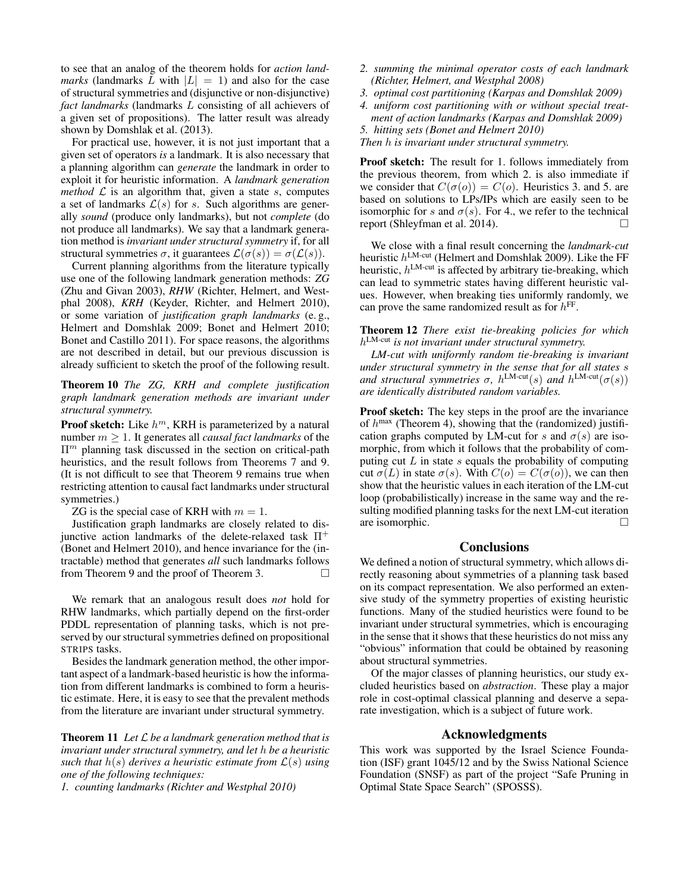to see that an analog of the theorem holds for *action landmarks* (landmarks L with  $|L| = 1$ ) and also for the case of structural symmetries and (disjunctive or non-disjunctive) *fact landmarks* (landmarks L consisting of all achievers of a given set of propositions). The latter result was already shown by Domshlak et al. (2013).

For practical use, however, it is not just important that a given set of operators *is* a landmark. It is also necessary that a planning algorithm can *generate* the landmark in order to exploit it for heuristic information. A *landmark generation method*  $\mathcal{L}$  is an algorithm that, given a state  $s$ , computes a set of landmarks  $\mathcal{L}(s)$  for s. Such algorithms are generally *sound* (produce only landmarks), but not *complete* (do not produce all landmarks). We say that a landmark generation method is *invariant under structural symmetry* if, for all structural symmetries  $\sigma$ , it guarantees  $\mathcal{L}(\sigma(s)) = \sigma(\mathcal{L}(s))$ .

Current planning algorithms from the literature typically use one of the following landmark generation methods: *ZG* (Zhu and Givan 2003), *RHW* (Richter, Helmert, and Westphal 2008), *KRH* (Keyder, Richter, and Helmert 2010), or some variation of *justification graph landmarks* (e. g., Helmert and Domshlak 2009; Bonet and Helmert 2010; Bonet and Castillo 2011). For space reasons, the algorithms are not described in detail, but our previous discussion is already sufficient to sketch the proof of the following result.

Theorem 10 *The ZG, KRH and complete justification graph landmark generation methods are invariant under structural symmetry.*

**Proof sketch:** Like  $h^m$ , KRH is parameterized by a natural number m ≥ 1. It generates all *causal fact landmarks* of the  $\Pi<sup>m</sup>$  planning task discussed in the section on critical-path heuristics, and the result follows from Theorems 7 and 9. (It is not difficult to see that Theorem 9 remains true when restricting attention to causal fact landmarks under structural symmetries.)

ZG is the special case of KRH with  $m = 1$ .

Justification graph landmarks are closely related to disjunctive action landmarks of the delete-relaxed task  $\Pi^+$ (Bonet and Helmert 2010), and hence invariance for the (intractable) method that generates *all* such landmarks follows from Theorem 9 and the proof of Theorem 3.

We remark that an analogous result does *not* hold for RHW landmarks, which partially depend on the first-order PDDL representation of planning tasks, which is not preserved by our structural symmetries defined on propositional STRIPS tasks.

Besides the landmark generation method, the other important aspect of a landmark-based heuristic is how the information from different landmarks is combined to form a heuristic estimate. Here, it is easy to see that the prevalent methods from the literature are invariant under structural symmetry.

Theorem 11 *Let* L *be a landmark generation method that is invariant under structural symmetry, and let* h *be a heuristic such that*  $h(s)$  *derives a heuristic estimate from*  $\mathcal{L}(s)$  *using one of the following techniques:*

*1. counting landmarks (Richter and Westphal 2010)*

- *2. summing the minimal operator costs of each landmark (Richter, Helmert, and Westphal 2008)*
- *3. optimal cost partitioning (Karpas and Domshlak 2009)*
- *4. uniform cost partitioning with or without special treat-*
- *ment of action landmarks (Karpas and Domshlak 2009) 5. hitting sets (Bonet and Helmert 2010)*

*Then* h *is invariant under structural symmetry.*

Proof sketch: The result for 1. follows immediately from the previous theorem, from which 2. is also immediate if we consider that  $C(\sigma(o)) = C(o)$ . Heuristics 3. and 5. are based on solutions to LPs/IPs which are easily seen to be isomorphic for s and  $\sigma(s)$ . For 4., we refer to the technical report (Shleyfman et al. 2014).

We close with a final result concerning the *landmark-cut* heuristic  $h^{\text{LM-cut}}$  (Helmert and Domshlak 2009). Like the FF heuristic,  $h^{\text{LM-cut}}$  is affected by arbitrary tie-breaking, which can lead to symmetric states having different heuristic values. However, when breaking ties uniformly randomly, we can prove the same randomized result as for  $h^{\text{FF}}$ .

Theorem 12 *There exist tie-breaking policies for which* h LM-cut *is not invariant under structural symmetry.*

*LM-cut with uniformly random tie-breaking is invariant under structural symmetry in the sense that for all states* s *and structural symmetries*  $\sigma$ ,  $h^{\text{LM-cut}}(s)$  *and*  $h^{\text{LM-cut}}(\sigma(s))$ *are identically distributed random variables.*

Proof sketch: The key steps in the proof are the invariance of  $h^{\text{max}}$  (Theorem 4), showing that the (randomized) justification graphs computed by LM-cut for s and  $\sigma(s)$  are isomorphic, from which it follows that the probability of computing cut  $L$  in state  $s$  equals the probability of computing cut  $\sigma(L)$  in state  $\sigma(s)$ . With  $C(o) = C(\sigma(o))$ , we can then show that the heuristic values in each iteration of the LM-cut loop (probabilistically) increase in the same way and the resulting modified planning tasks for the next LM-cut iteration are isomorphic.

# **Conclusions**

We defined a notion of structural symmetry, which allows directly reasoning about symmetries of a planning task based on its compact representation. We also performed an extensive study of the symmetry properties of existing heuristic functions. Many of the studied heuristics were found to be invariant under structural symmetries, which is encouraging in the sense that it shows that these heuristics do not miss any "obvious" information that could be obtained by reasoning about structural symmetries.

Of the major classes of planning heuristics, our study excluded heuristics based on *abstraction*. These play a major role in cost-optimal classical planning and deserve a separate investigation, which is a subject of future work.

#### Acknowledgments

This work was supported by the Israel Science Foundation (ISF) grant 1045/12 and by the Swiss National Science Foundation (SNSF) as part of the project "Safe Pruning in Optimal State Space Search" (SPOSSS).